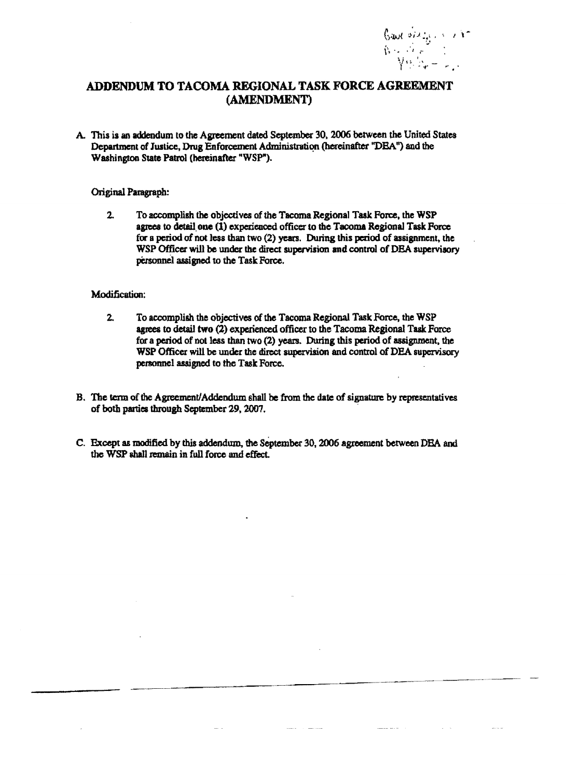

## ADDENDUM TO TACOMA REGIONAL TASK FORCE AGREEMENT (AMENDMENT)

A. This is an addendum to the Agreement dated September 30, 2006 between the United States Department of Justice, Drug Enforcement Administration (hereinafter "DEA") and the Washington State Patrol (hereinafter "WSP").

## Original Paragraph:

 $2.$ To accomplish the objectives of the Tacoma Regional Task Force, the WSP agrees to detail one (1) experienced officer to the Tacoma Regional Task Force for a period of not less than two (2) years. During this period of assignment, the WSP Officer will be under the direct supervision and control of DEA supervisory personnel assigned to the Task Force.

## Modification:

- $2.$ To accomplish the objectives of the Tacoma Regional Task Force, the WSP agrees to detail two (2) experienced officer to the Tacoma Regional Task Force for a period of not less than two (2) years. During this period of assignment, the WSP Officer will be under the direct supervision and control of DEA supervisory personnel assigned to the Task Force.
- B. The term of the Agreement/Addendum shall be from the date of signature by representatives of both parties through September 29, 2007.
- C. Except as modified by this addendum, the September 30, 2006 agreement between DEA and the WSP shall remain in full force and effect.